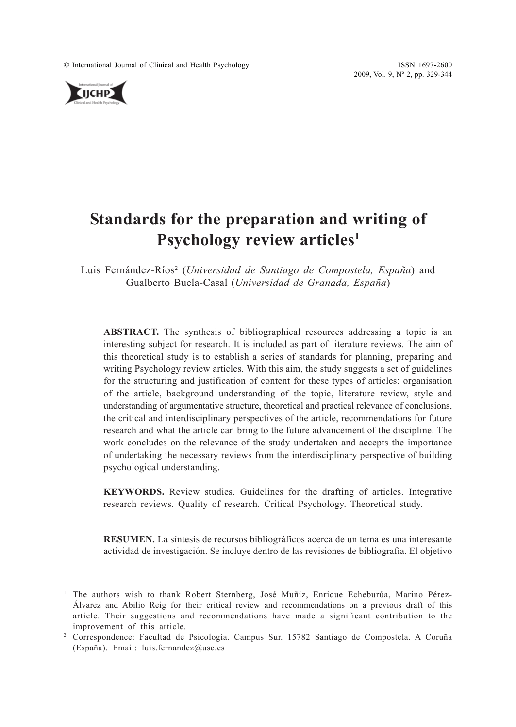© International Journal of Clinical and Health Psychology ISSN 1697-2600

2009, Vol. 9, Nº 2, pp. 329-344



# **Standards for the preparation and writing of Psychology review articles1**

Luis Fernández-Ríos<sup>2</sup> (Universidad de Santiago de Compostela, España) and Gualberto Buela-Casal (*Universidad de Granada, España*)

**ABSTRACT.** The synthesis of bibliographical resources addressing a topic is an interesting subject for research. It is included as part of literature reviews. The aim of this theoretical study is to establish a series of standards for planning, preparing and writing Psychology review articles. With this aim, the study suggests a set of guidelines for the structuring and justification of content for these types of articles: organisation of the article, background understanding of the topic, literature review, style and understanding of argumentative structure, theoretical and practical relevance of conclusions, the critical and interdisciplinary perspectives of the article, recommendations for future research and what the article can bring to the future advancement of the discipline. The work concludes on the relevance of the study undertaken and accepts the importance of undertaking the necessary reviews from the interdisciplinary perspective of building psychological understanding.

**KEYWORDS.** Review studies. Guidelines for the drafting of articles. Integrative research reviews. Quality of research. Critical Psychology. Theoretical study.

**RESUMEN.** La síntesis de recursos bibliográficos acerca de un tema es una interesante actividad de investigación. Se incluye dentro de las revisiones de bibliografía. El objetivo

<sup>&</sup>lt;sup>1</sup> The authors wish to thank Robert Sternberg, José Muñiz, Enrique Echeburúa, Marino Pérez-Álvarez and Abilio Reig for their critical review and recommendations on a previous draft of this article. Their suggestions and recommendations have made a significant contribution to the improvement of this article.

<sup>2</sup> Correspondence: Facultad de Psicología. Campus Sur. 15782 Santiago de Compostela. A Coruña (España). Email: luis.fernandez@usc.es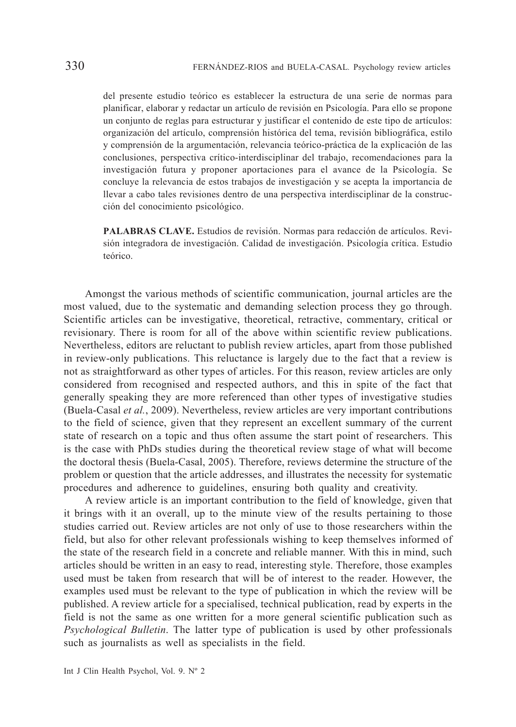del presente estudio teórico es establecer la estructura de una serie de normas para planificar, elaborar y redactar un artículo de revisión en Psicología. Para ello se propone un conjunto de reglas para estructurar y justificar el contenido de este tipo de artículos: organización del artículo, comprensión histórica del tema, revisión bibliográfica, estilo y comprensión de la argumentación, relevancia teórico-práctica de la explicación de las conclusiones, perspectiva crítico-interdisciplinar del trabajo, recomendaciones para la investigación futura y proponer aportaciones para el avance de la Psicología. Se concluye la relevancia de estos trabajos de investigación y se acepta la importancia de llevar a cabo tales revisiones dentro de una perspectiva interdisciplinar de la construcción del conocimiento psicológico.

**PALABRAS CLAVE.** Estudios de revisión. Normas para redacción de artículos. Revisión integradora de investigación. Calidad de investigación. Psicología crítica. Estudio teórico.

Amongst the various methods of scientific communication, journal articles are the most valued, due to the systematic and demanding selection process they go through. Scientific articles can be investigative, theoretical, retractive, commentary, critical or revisionary. There is room for all of the above within scientific review publications. Nevertheless, editors are reluctant to publish review articles, apart from those published in review-only publications. This reluctance is largely due to the fact that a review is not as straightforward as other types of articles. For this reason, review articles are only considered from recognised and respected authors, and this in spite of the fact that generally speaking they are more referenced than other types of investigative studies (Buela-Casal *et al.*, 2009). Nevertheless, review articles are very important contributions to the field of science, given that they represent an excellent summary of the current state of research on a topic and thus often assume the start point of researchers. This is the case with PhDs studies during the theoretical review stage of what will become the doctoral thesis (Buela-Casal, 2005). Therefore, reviews determine the structure of the problem or question that the article addresses, and illustrates the necessity for systematic procedures and adherence to guidelines, ensuring both quality and creativity.

A review article is an important contribution to the field of knowledge, given that it brings with it an overall, up to the minute view of the results pertaining to those studies carried out. Review articles are not only of use to those researchers within the field, but also for other relevant professionals wishing to keep themselves informed of the state of the research field in a concrete and reliable manner. With this in mind, such articles should be written in an easy to read, interesting style. Therefore, those examples used must be taken from research that will be of interest to the reader. However, the examples used must be relevant to the type of publication in which the review will be published. A review article for a specialised, technical publication, read by experts in the field is not the same as one written for a more general scientific publication such as *Psychological Bulletin*. The latter type of publication is used by other professionals such as journalists as well as specialists in the field.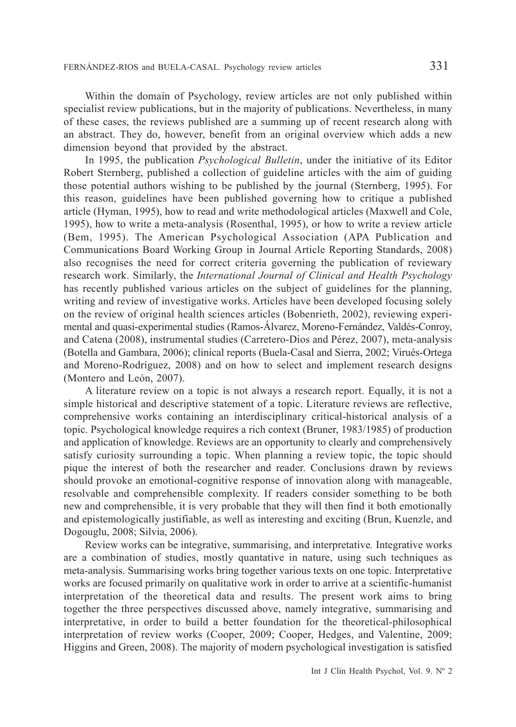Within the domain of Psychology, review articles are not only published within specialist review publications, but in the majority of publications. Nevertheless, in many of these cases, the reviews published are a summing up of recent research along with an abstract. They do, however, benefit from an original overview which adds a new dimension beyond that provided by the abstract.

In 1995, the publication *Psychological Bulletin*, under the initiative of its Editor Robert Sternberg, published a collection of guideline articles with the aim of guiding those potential authors wishing to be published by the journal (Sternberg, 1995). For this reason, guidelines have been published governing how to critique a published article (Hyman, 1995), how to read and write methodological articles (Maxwell and Cole, 1995), how to write a meta-analysis (Rosenthal, 1995), or how to write a review article (Bem, 1995). The American Psychological Association (APA Publication and Communications Board Working Group in Journal Article Reporting Standards, 2008) also recognises the need for correct criteria governing the publication of reviewary research work. Similarly, the *International Journal of Clinical and Health Psychology* has recently published various articles on the subject of guidelines for the planning, writing and review of investigative works. Articles have been developed focusing solely on the review of original health sciences articles (Bobenrieth, 2002), reviewing experimental and quasi-experimental studies (Ramos-Álvarez, Moreno-Fernández, Valdés-Conroy, and Catena (2008), instrumental studies (Carretero-Dios and Pérez, 2007), meta-analysis (Botella and Gambara, 2006); clinical reports (Buela-Casal and Sierra, 2002; Virués-Ortega and Moreno-Rodríguez, 2008) and on how to select and implement research designs (Montero and León, 2007).

A literature review on a topic is not always a research report. Equally, it is not a simple historical and descriptive statement of a topic. Literature reviews are reflective, comprehensive works containing an interdisciplinary critical-historical analysis of a topic. Psychological knowledge requires a rich context (Bruner, 1983/1985) of production and application of knowledge. Reviews are an opportunity to clearly and comprehensively satisfy curiosity surrounding a topic. When planning a review topic, the topic should pique the interest of both the researcher and reader. Conclusions drawn by reviews should provoke an emotional-cognitive response of innovation along with manageable, resolvable and comprehensible complexity. If readers consider something to be both new and comprehensible, it is very probable that they will then find it both emotionally and epistemologically justifiable, as well as interesting and exciting (Brun, Kuenzle, and Dogouglu, 2008; Silvia, 2006).

Review works can be integrative, summarising, and interpretative*.* Integrative works are a combination of studies, mostly quantative in nature, using such techniques as meta-analysis. Summarising works bring together various texts on one topic. Interpretative works are focused primarily on qualitative work in order to arrive at a scientific-humanist interpretation of the theoretical data and results. The present work aims to bring together the three perspectives discussed above, namely integrative, summarising and interpretative, in order to build a better foundation for the theoretical-philosophical interpretation of review works (Cooper, 2009; Cooper, Hedges, and Valentine, 2009; Higgins and Green, 2008). The majority of modern psychological investigation is satisfied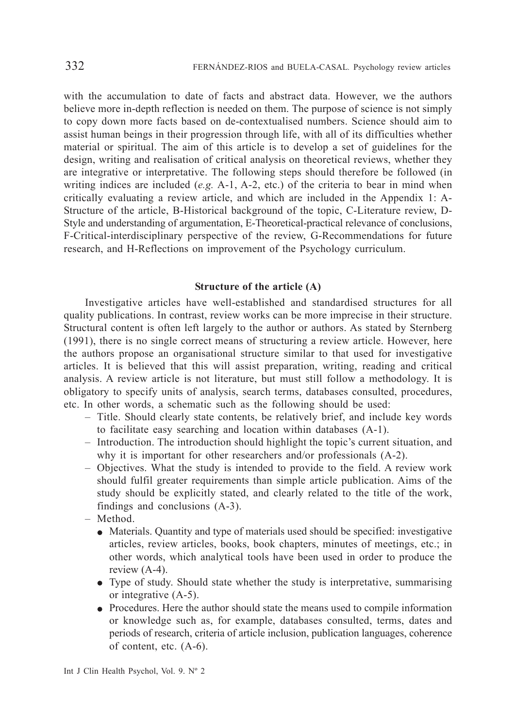with the accumulation to date of facts and abstract data. However, we the authors believe more in-depth reflection is needed on them. The purpose of science is not simply to copy down more facts based on de-contextualised numbers. Science should aim to assist human beings in their progression through life, with all of its difficulties whether material or spiritual. The aim of this article is to develop a set of guidelines for the design, writing and realisation of critical analysis on theoretical reviews, whether they are integrative or interpretative. The following steps should therefore be followed (in writing indices are included (*e.g.* A-1, A-2, etc.) of the criteria to bear in mind when critically evaluating a review article, and which are included in the Appendix 1: A-Structure of the article, B-Historical background of the topic, C-Literature review, D-Style and understanding of argumentation, E-Theoretical-practical relevance of conclusions, F-Critical-interdisciplinary perspective of the review, G-Recommendations for future research, and H-Reflections on improvement of the Psychology curriculum.

# **Structure of the article (A)**

Investigative articles have well-established and standardised structures for all quality publications. In contrast, review works can be more imprecise in their structure. Structural content is often left largely to the author or authors. As stated by Sternberg (1991), there is no single correct means of structuring a review article. However, here the authors propose an organisational structure similar to that used for investigative articles. It is believed that this will assist preparation, writing, reading and critical analysis. A review article is not literature, but must still follow a methodology. It is obligatory to specify units of analysis, search terms, databases consulted, procedures, etc. In other words, a schematic such as the following should be used:

- Title. Should clearly state contents, be relatively brief, and include key words to facilitate easy searching and location within databases (A-1).
- Introduction. The introduction should highlight the topic's current situation, and why it is important for other researchers and/or professionals  $(A-2)$ .
- Objectives. What the study is intended to provide to the field. A review work should fulfil greater requirements than simple article publication. Aims of the study should be explicitly stated, and clearly related to the title of the work, findings and conclusions (A-3).
- Method.
	- Materials. Quantity and type of materials used should be specified: investigative articles, review articles, books, book chapters, minutes of meetings, etc.; in other words, which analytical tools have been used in order to produce the review (A-4).
	- Type of study. Should state whether the study is interpretative, summarising or integrative (A-5).
	- Procedures. Here the author should state the means used to compile information or knowledge such as, for example, databases consulted, terms, dates and periods of research, criteria of article inclusion, publication languages, coherence of content, etc. (A-6).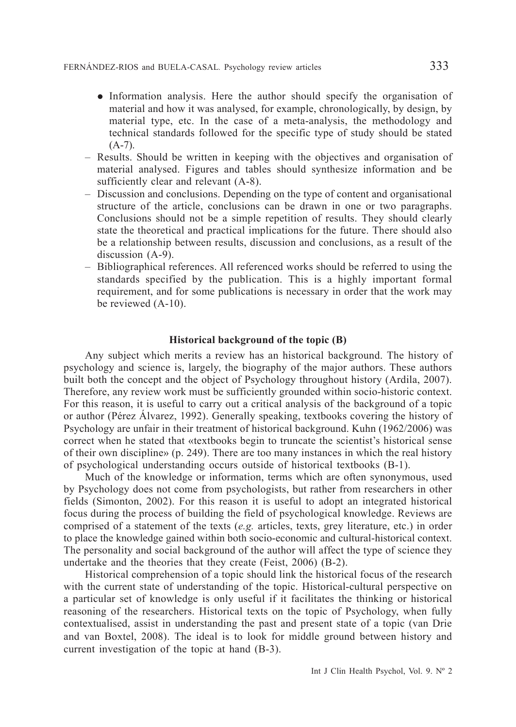- Information analysis. Here the author should specify the organisation of material and how it was analysed, for example, chronologically, by design, by material type, etc. In the case of a meta-analysis, the methodology and technical standards followed for the specific type of study should be stated  $(A-7)$ .
- Results. Should be written in keeping with the objectives and organisation of material analysed. Figures and tables should synthesize information and be sufficiently clear and relevant  $(A-8)$ .
- Discussion and conclusions. Depending on the type of content and organisational structure of the article, conclusions can be drawn in one or two paragraphs. Conclusions should not be a simple repetition of results. They should clearly state the theoretical and practical implications for the future. There should also be a relationship between results, discussion and conclusions, as a result of the discussion (A-9).
- Bibliographical references. All referenced works should be referred to using the standards specified by the publication. This is a highly important formal requirement, and for some publications is necessary in order that the work may be reviewed (A-10).

# **Historical background of the topic (B)**

Any subject which merits a review has an historical background. The history of psychology and science is, largely, the biography of the major authors. These authors built both the concept and the object of Psychology throughout history (Ardila, 2007). Therefore, any review work must be sufficiently grounded within socio-historic context. For this reason, it is useful to carry out a critical analysis of the background of a topic or author (Pérez Álvarez, 1992). Generally speaking, textbooks covering the history of Psychology are unfair in their treatment of historical background. Kuhn (1962/2006) was correct when he stated that «textbooks begin to truncate the scientist's historical sense of their own discipline» (p. 249). There are too many instances in which the real history of psychological understanding occurs outside of historical textbooks (B-1).

Much of the knowledge or information, terms which are often synonymous, used by Psychology does not come from psychologists, but rather from researchers in other fields (Simonton, 2002). For this reason it is useful to adopt an integrated historical focus during the process of building the field of psychological knowledge. Reviews are comprised of a statement of the texts (*e.g.* articles, texts, grey literature, etc.) in order to place the knowledge gained within both socio-economic and cultural-historical context. The personality and social background of the author will affect the type of science they undertake and the theories that they create (Feist, 2006) (B-2).

Historical comprehension of a topic should link the historical focus of the research with the current state of understanding of the topic. Historical-cultural perspective on a particular set of knowledge is only useful if it facilitates the thinking or historical reasoning of the researchers. Historical texts on the topic of Psychology, when fully contextualised, assist in understanding the past and present state of a topic (van Drie and van Boxtel, 2008). The ideal is to look for middle ground between history and current investigation of the topic at hand (B-3).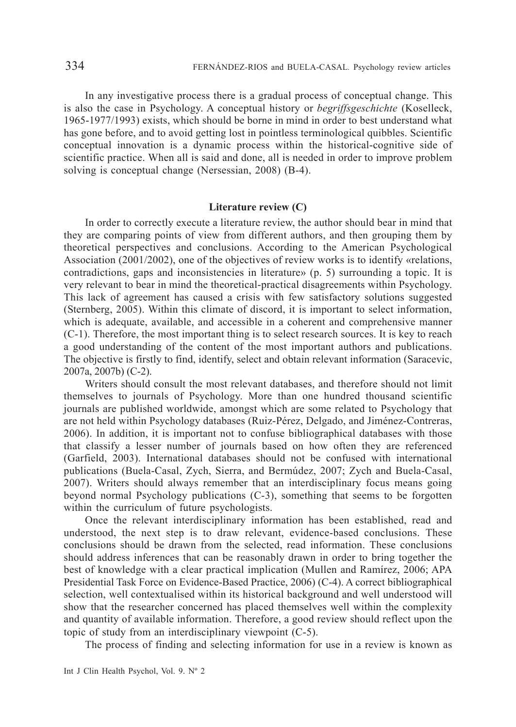In any investigative process there is a gradual process of conceptual change. This is also the case in Psychology. A conceptual history or *begriffsgeschichte* (Koselleck, 1965-1977/1993) exists, which should be borne in mind in order to best understand what has gone before, and to avoid getting lost in pointless terminological quibbles. Scientific conceptual innovation is a dynamic process within the historical-cognitive side of scientific practice. When all is said and done, all is needed in order to improve problem solving is conceptual change (Nersessian, 2008) (B-4).

# **Literature review (C)**

In order to correctly execute a literature review, the author should bear in mind that they are comparing points of view from different authors, and then grouping them by theoretical perspectives and conclusions. According to the American Psychological Association (2001/2002), one of the objectives of review works is to identify «relations, contradictions, gaps and inconsistencies in literature» (p. 5) surrounding a topic. It is very relevant to bear in mind the theoretical-practical disagreements within Psychology. This lack of agreement has caused a crisis with few satisfactory solutions suggested (Sternberg, 2005). Within this climate of discord, it is important to select information, which is adequate, available, and accessible in a coherent and comprehensive manner (C-1). Therefore, the most important thing is to select research sources. It is key to reach a good understanding of the content of the most important authors and publications. The objective is firstly to find, identify, select and obtain relevant information (Saracevic, 2007a, 2007b) (C-2).

Writers should consult the most relevant databases, and therefore should not limit themselves to journals of Psychology. More than one hundred thousand scientific journals are published worldwide, amongst which are some related to Psychology that are not held within Psychology databases (Ruiz-Pérez, Delgado, and Jiménez-Contreras, 2006). In addition, it is important not to confuse bibliographical databases with those that classify a lesser number of journals based on how often they are referenced (Garfield, 2003). International databases should not be confused with international publications (Buela-Casal, Zych, Sierra, and Bermúdez, 2007; Zych and Buela-Casal, 2007). Writers should always remember that an interdisciplinary focus means going beyond normal Psychology publications (C-3), something that seems to be forgotten within the curriculum of future psychologists.

Once the relevant interdisciplinary information has been established, read and understood, the next step is to draw relevant, evidence-based conclusions. These conclusions should be drawn from the selected, read information. These conclusions should address inferences that can be reasonably drawn in order to bring together the best of knowledge with a clear practical implication (Mullen and Ramírez, 2006; APA Presidential Task Force on Evidence-Based Practice, 2006) (C-4). A correct bibliographical selection, well contextualised within its historical background and well understood will show that the researcher concerned has placed themselves well within the complexity and quantity of available information. Therefore, a good review should reflect upon the topic of study from an interdisciplinary viewpoint (C-5).

The process of finding and selecting information for use in a review is known as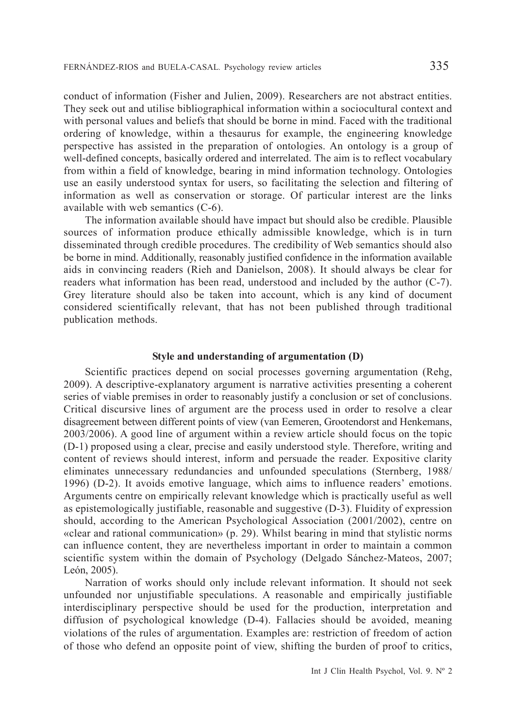conduct of information (Fisher and Julien, 2009). Researchers are not abstract entities. They seek out and utilise bibliographical information within a sociocultural context and with personal values and beliefs that should be borne in mind. Faced with the traditional ordering of knowledge, within a thesaurus for example, the engineering knowledge perspective has assisted in the preparation of ontologies. An ontology is a group of well-defined concepts, basically ordered and interrelated. The aim is to reflect vocabulary from within a field of knowledge, bearing in mind information technology. Ontologies use an easily understood syntax for users, so facilitating the selection and filtering of information as well as conservation or storage. Of particular interest are the links available with web semantics (C-6).

The information available should have impact but should also be credible. Plausible sources of information produce ethically admissible knowledge, which is in turn disseminated through credible procedures. The credibility of Web semantics should also be borne in mind. Additionally, reasonably justified confidence in the information available aids in convincing readers (Rieh and Danielson, 2008). It should always be clear for readers what information has been read, understood and included by the author (C-7). Grey literature should also be taken into account, which is any kind of document considered scientifically relevant, that has not been published through traditional publication methods.

# **Style and understanding of argumentation (D)**

Scientific practices depend on social processes governing argumentation (Rehg, 2009). A descriptive-explanatory argument is narrative activities presenting a coherent series of viable premises in order to reasonably justify a conclusion or set of conclusions. Critical discursive lines of argument are the process used in order to resolve a clear disagreement between different points of view (van Eemeren, Grootendorst and Henkemans, 2003/2006). A good line of argument within a review article should focus on the topic (D-1) proposed using a clear, precise and easily understood style. Therefore, writing and content of reviews should interest, inform and persuade the reader. Expositive clarity eliminates unnecessary redundancies and unfounded speculations (Sternberg, 1988/ 1996) (D-2). It avoids emotive language, which aims to influence readers' emotions. Arguments centre on empirically relevant knowledge which is practically useful as well as epistemologically justifiable, reasonable and suggestive (D-3). Fluidity of expression should, according to the American Psychological Association (2001/2002), centre on «clear and rational communication» (p. 29). Whilst bearing in mind that stylistic norms can influence content, they are nevertheless important in order to maintain a common scientific system within the domain of Psychology (Delgado Sánchez-Mateos, 2007; León, 2005).

Narration of works should only include relevant information. It should not seek unfounded nor unjustifiable speculations. A reasonable and empirically justifiable interdisciplinary perspective should be used for the production, interpretation and diffusion of psychological knowledge (D-4). Fallacies should be avoided, meaning violations of the rules of argumentation. Examples are: restriction of freedom of action of those who defend an opposite point of view, shifting the burden of proof to critics,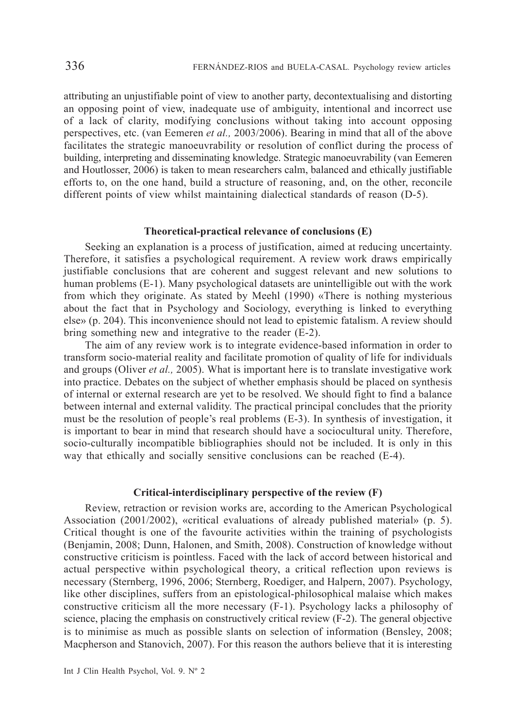attributing an unjustifiable point of view to another party, decontextualising and distorting an opposing point of view, inadequate use of ambiguity, intentional and incorrect use of a lack of clarity, modifying conclusions without taking into account opposing perspectives, etc. (van Eemeren *et al.,* 2003/2006). Bearing in mind that all of the above facilitates the strategic manoeuvrability or resolution of conflict during the process of building, interpreting and disseminating knowledge. Strategic manoeuvrability (van Eemeren and Houtlosser, 2006) is taken to mean researchers calm, balanced and ethically justifiable efforts to, on the one hand, build a structure of reasoning, and, on the other, reconcile different points of view whilst maintaining dialectical standards of reason (D-5).

# **Theoretical-practical relevance of conclusions (E)**

Seeking an explanation is a process of justification, aimed at reducing uncertainty. Therefore, it satisfies a psychological requirement. A review work draws empirically justifiable conclusions that are coherent and suggest relevant and new solutions to human problems (E-1). Many psychological datasets are unintelligible out with the work from which they originate. As stated by Meehl (1990) «There is nothing mysterious about the fact that in Psychology and Sociology, everything is linked to everything else» (p. 204). This inconvenience should not lead to epistemic fatalism. A review should bring something new and integrative to the reader (E-2).

The aim of any review work is to integrate evidence-based information in order to transform socio-material reality and facilitate promotion of quality of life for individuals and groups (Oliver *et al.,* 2005). What is important here is to translate investigative work into practice. Debates on the subject of whether emphasis should be placed on synthesis of internal or external research are yet to be resolved. We should fight to find a balance between internal and external validity. The practical principal concludes that the priority must be the resolution of people's real problems (E-3). In synthesis of investigation, it is important to bear in mind that research should have a sociocultural unity. Therefore, socio-culturally incompatible bibliographies should not be included. It is only in this way that ethically and socially sensitive conclusions can be reached (E-4).

# **Critical-interdisciplinary perspective of the review (F)**

Review, retraction or revision works are, according to the American Psychological Association (2001/2002), «critical evaluations of already published material» (p. 5). Critical thought is one of the favourite activities within the training of psychologists (Benjamin, 2008; Dunn, Halonen, and Smith, 2008). Construction of knowledge without constructive criticism is pointless. Faced with the lack of accord between historical and actual perspective within psychological theory, a critical reflection upon reviews is necessary (Sternberg, 1996, 2006; Sternberg, Roediger, and Halpern, 2007). Psychology, like other disciplines, suffers from an epistological-philosophical malaise which makes constructive criticism all the more necessary (F-1). Psychology lacks a philosophy of science, placing the emphasis on constructively critical review (F-2). The general objective is to minimise as much as possible slants on selection of information (Bensley, 2008; Macpherson and Stanovich, 2007). For this reason the authors believe that it is interesting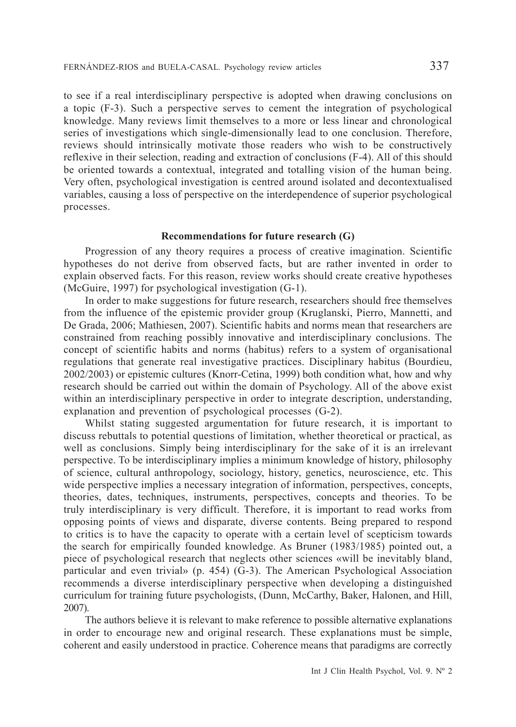to see if a real interdisciplinary perspective is adopted when drawing conclusions on a topic (F-3). Such a perspective serves to cement the integration of psychological knowledge. Many reviews limit themselves to a more or less linear and chronological series of investigations which single-dimensionally lead to one conclusion. Therefore, reviews should intrinsically motivate those readers who wish to be constructively reflexive in their selection, reading and extraction of conclusions (F-4). All of this should be oriented towards a contextual, integrated and totalling vision of the human being. Very often, psychological investigation is centred around isolated and decontextualised variables, causing a loss of perspective on the interdependence of superior psychological processes.

# **Recommendations for future research (G)**

Progression of any theory requires a process of creative imagination. Scientific hypotheses do not derive from observed facts, but are rather invented in order to explain observed facts. For this reason, review works should create creative hypotheses (McGuire, 1997) for psychological investigation (G-1).

In order to make suggestions for future research, researchers should free themselves from the influence of the epistemic provider group (Kruglanski, Pierro, Mannetti, and De Grada, 2006; Mathiesen, 2007). Scientific habits and norms mean that researchers are constrained from reaching possibly innovative and interdisciplinary conclusions. The concept of scientific habits and norms (habitus) refers to a system of organisational regulations that generate real investigative practices. Disciplinary habitus (Bourdieu, 2002/2003) or epistemic cultures (Knorr-Cetina, 1999) both condition what, how and why research should be carried out within the domain of Psychology. All of the above exist within an interdisciplinary perspective in order to integrate description, understanding, explanation and prevention of psychological processes (G-2).

Whilst stating suggested argumentation for future research, it is important to discuss rebuttals to potential questions of limitation, whether theoretical or practical, as well as conclusions. Simply being interdisciplinary for the sake of it is an irrelevant perspective. To be interdisciplinary implies a minimum knowledge of history, philosophy of science, cultural anthropology, sociology, history, genetics, neuroscience, etc. This wide perspective implies a necessary integration of information, perspectives, concepts, theories, dates, techniques, instruments, perspectives, concepts and theories. To be truly interdisciplinary is very difficult. Therefore, it is important to read works from opposing points of views and disparate, diverse contents. Being prepared to respond to critics is to have the capacity to operate with a certain level of scepticism towards the search for empirically founded knowledge. As Bruner (1983/1985) pointed out, a piece of psychological research that neglects other sciences «will be inevitably bland, particular and even trivial» (p. 454) (G-3). The American Psychological Association recommends a diverse interdisciplinary perspective when developing a distinguished curriculum for training future psychologists, (Dunn, McCarthy, Baker, Halonen, and Hill, 2007).

The authors believe it is relevant to make reference to possible alternative explanations in order to encourage new and original research. These explanations must be simple, coherent and easily understood in practice. Coherence means that paradigms are correctly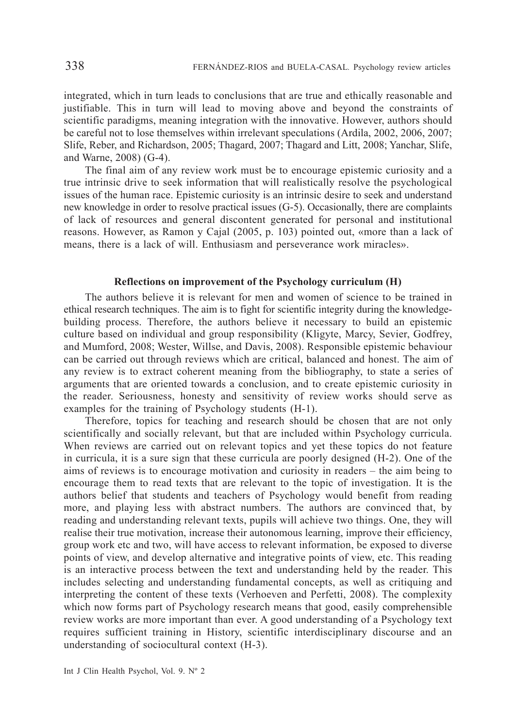integrated, which in turn leads to conclusions that are true and ethically reasonable and justifiable. This in turn will lead to moving above and beyond the constraints of scientific paradigms, meaning integration with the innovative. However, authors should be careful not to lose themselves within irrelevant speculations (Ardila, 2002, 2006, 2007; Slife, Reber, and Richardson, 2005; Thagard, 2007; Thagard and Litt, 2008; Yanchar, Slife, and Warne, 2008) (G-4).

The final aim of any review work must be to encourage epistemic curiosity and a true intrinsic drive to seek information that will realistically resolve the psychological issues of the human race. Epistemic curiosity is an intrinsic desire to seek and understand new knowledge in order to resolve practical issues (G-5). Occasionally, there are complaints of lack of resources and general discontent generated for personal and institutional reasons. However, as Ramon y Cajal (2005, p. 103) pointed out, «more than a lack of means, there is a lack of will. Enthusiasm and perseverance work miracles».

## **Reflections on improvement of the Psychology curriculum (H)**

The authors believe it is relevant for men and women of science to be trained in ethical research techniques. The aim is to fight for scientific integrity during the knowledgebuilding process. Therefore, the authors believe it necessary to build an epistemic culture based on individual and group responsibility (Kligyte, Marcy, Sevier, Godfrey, and Mumford, 2008; Wester, Willse, and Davis, 2008). Responsible epistemic behaviour can be carried out through reviews which are critical, balanced and honest. The aim of any review is to extract coherent meaning from the bibliography, to state a series of arguments that are oriented towards a conclusion, and to create epistemic curiosity in the reader. Seriousness, honesty and sensitivity of review works should serve as examples for the training of Psychology students (H-1).

Therefore, topics for teaching and research should be chosen that are not only scientifically and socially relevant, but that are included within Psychology curricula. When reviews are carried out on relevant topics and yet these topics do not feature in curricula, it is a sure sign that these curricula are poorly designed (H-2). One of the aims of reviews is to encourage motivation and curiosity in readers – the aim being to encourage them to read texts that are relevant to the topic of investigation. It is the authors belief that students and teachers of Psychology would benefit from reading more, and playing less with abstract numbers. The authors are convinced that, by reading and understanding relevant texts, pupils will achieve two things. One, they will realise their true motivation, increase their autonomous learning, improve their efficiency, group work etc and two, will have access to relevant information, be exposed to diverse points of view, and develop alternative and integrative points of view, etc. This reading is an interactive process between the text and understanding held by the reader. This includes selecting and understanding fundamental concepts, as well as critiquing and interpreting the content of these texts (Verhoeven and Perfetti, 2008). The complexity which now forms part of Psychology research means that good, easily comprehensible review works are more important than ever. A good understanding of a Psychology text requires sufficient training in History, scientific interdisciplinary discourse and an understanding of sociocultural context (H-3).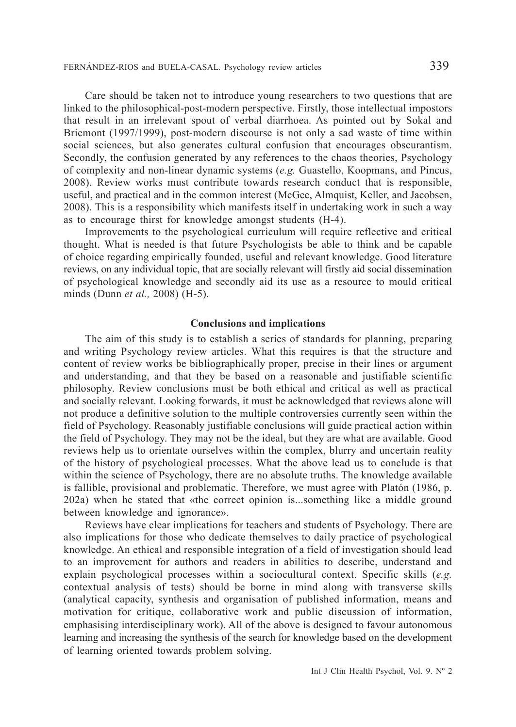Care should be taken not to introduce young researchers to two questions that are linked to the philosophical-post-modern perspective. Firstly, those intellectual impostors that result in an irrelevant spout of verbal diarrhoea. As pointed out by Sokal and Bricmont (1997/1999), post-modern discourse is not only a sad waste of time within social sciences, but also generates cultural confusion that encourages obscurantism. Secondly, the confusion generated by any references to the chaos theories, Psychology of complexity and non-linear dynamic systems (*e.g.* Guastello, Koopmans, and Pincus, 2008). Review works must contribute towards research conduct that is responsible, useful, and practical and in the common interest (McGee, Almquist, Keller, and Jacobsen, 2008). This is a responsibility which manifests itself in undertaking work in such a way as to encourage thirst for knowledge amongst students (H-4).

Improvements to the psychological curriculum will require reflective and critical thought. What is needed is that future Psychologists be able to think and be capable of choice regarding empirically founded, useful and relevant knowledge. Good literature reviews, on any individual topic, that are socially relevant will firstly aid social dissemination of psychological knowledge and secondly aid its use as a resource to mould critical minds (Dunn *et al.,* 2008) (H-5).

### **Conclusions and implications**

The aim of this study is to establish a series of standards for planning, preparing and writing Psychology review articles. What this requires is that the structure and content of review works be bibliographically proper, precise in their lines or argument and understanding, and that they be based on a reasonable and justifiable scientific philosophy. Review conclusions must be both ethical and critical as well as practical and socially relevant. Looking forwards, it must be acknowledged that reviews alone will not produce a definitive solution to the multiple controversies currently seen within the field of Psychology. Reasonably justifiable conclusions will guide practical action within the field of Psychology. They may not be the ideal, but they are what are available. Good reviews help us to orientate ourselves within the complex, blurry and uncertain reality of the history of psychological processes. What the above lead us to conclude is that within the science of Psychology, there are no absolute truths. The knowledge available is fallible, provisional and problematic. Therefore, we must agree with Platón (1986, p. 202a) when he stated that «the correct opinion is...something like a middle ground between knowledge and ignorance».

Reviews have clear implications for teachers and students of Psychology. There are also implications for those who dedicate themselves to daily practice of psychological knowledge. An ethical and responsible integration of a field of investigation should lead to an improvement for authors and readers in abilities to describe, understand and explain psychological processes within a sociocultural context. Specific skills (*e.g.* contextual analysis of tests) should be borne in mind along with transverse skills (analytical capacity, synthesis and organisation of published information, means and motivation for critique, collaborative work and public discussion of information, emphasising interdisciplinary work). All of the above is designed to favour autonomous learning and increasing the synthesis of the search for knowledge based on the development of learning oriented towards problem solving.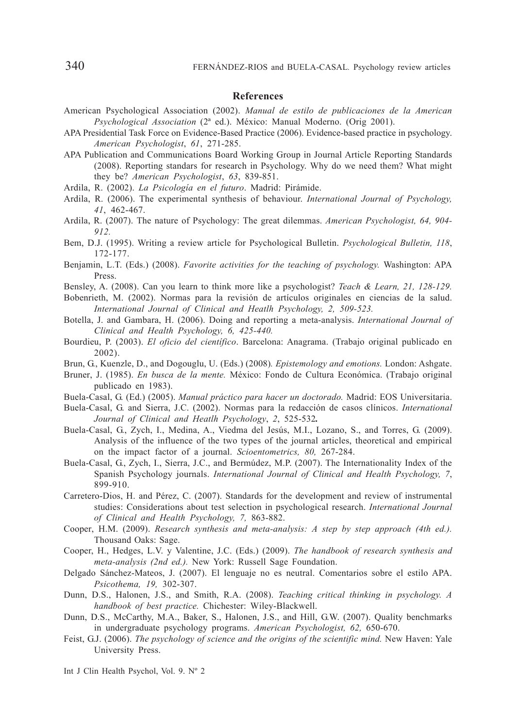#### **References**

- American Psychological Association (2002). *Manual de estilo de publicaciones de la American Psychological Association* (2ª ed.). México: Manual Moderno. (Orig 2001).
- APA Presidential Task Force on Evidence-Based Practice (2006). Evidence-based practice in psychology. *American Psychologist*, *61*, 271-285.
- APA Publication and Communications Board Working Group in Journal Article Reporting Standards (2008). Reporting standars for research in Psychology. Why do we need them? What might they be? *American Psychologist*, *63*, 839-851.
- Ardila, R. (2002). *La Psicología en el futuro*. Madrid: Pirámide.
- Ardila, R. (2006). The experimental synthesis of behaviour. *International Journal of Psychology, 41*, 462-467.
- Ardila, R. (2007). The nature of Psychology: The great dilemmas. *American Psychologist, 64, 904- 912.*
- Bem, D.J. (1995). Writing a review article for Psychological Bulletin. *Psychological Bulletin, 118*, 172-177.
- Benjamin, L.T. (Eds.) (2008). *Favorite activities for the teaching of psychology.* Washington: APA Press.
- Bensley, A. (2008). Can you learn to think more like a psychologist? *Teach & Learn, 21, 128-129.*
- Bobenrieth, M. (2002). Normas para la revisión de artículos originales en ciencias de la salud. *International Journal of Clinical and Heatlh Psychology, 2, 509-523.*
- Botella, J. and Gambara, H. (2006). Doing and reporting a meta-analysis. *International Journal of Clinical and Health Psychology, 6, 425-440.*
- Bourdieu, P. (2003). *El oficio del científico*. Barcelona: Anagrama. (Trabajo original publicado en 2002).
- Brun, G., Kuenzle, D., and Dogouglu, U. (Eds.) (2008)*. Epistemology and emotions.* London: Ashgate.
- Bruner, J. (1985). *En busca de la mente.* México: Fondo de Cultura Económica. (Trabajo original publicado en 1983).
- Buela-Casal, G. (Ed.) (2005). *Manual práctico para hacer un doctorado.* Madrid: EOS Universitaria.
- Buela-Casal, G. and Sierra, J.C. (2002). Normas para la redacción de casos clínicos. *International Journal of Clinical and Heatlh Psychology*, *2*, 525-532*.*
- Buela-Casal, G., Zych, I., Medina, A., Viedma del Jesús, M.I., Lozano, S., and Torres, G. (2009). Analysis of the influence of the two types of the journal articles, theoretical and empirical on the impact factor of a journal. *Scioentometrics, 80,* 267-284.
- Buela-Casal, G., Zych, I., Sierra, J.C., and Bermúdez, M.P. (2007). The Internationality Index of the Spanish Psychology journals. *International Journal of Clinical and Health Psychology, 7*, 899-910.
- Carretero-Dios, H. and Pérez, C. (2007). Standards for the development and review of instrumental studies: Considerations about test selection in psychological research. *International Journal of Clinical and Health Psychology, 7,* 863-882.
- Cooper, H.M. (2009). *Research synthesis and meta-analysis: A step by step approach (4th ed.).* Thousand Oaks: Sage.
- Cooper, H., Hedges, L.V. y Valentine, J.C. (Eds.) (2009). *The handbook of research synthesis and meta-analysis (2nd ed.).* New York: Russell Sage Foundation.
- Delgado Sánchez-Mateos, J. (2007). El lenguaje no es neutral. Comentarios sobre el estilo APA. *Psicothema, 19,* 302-307.
- Dunn, D.S., Halonen, J.S., and Smith, R.A. (2008). *Teaching critical thinking in psychology. A handbook of best practice.* Chichester: Wiley-Blackwell.
- Dunn, D.S., McCarthy, M.A., Baker, S., Halonen, J.S., and Hill, G.W. (2007). Quality benchmarks in undergraduate psychology programs. *American Psychologist, 62,* 650-670.
- Feist, G.J. (2006). *The psychology of science and the origins of the scientific mind.* New Haven: Yale University Press.

Int J Clin Health Psychol, Vol. 9. Nº 2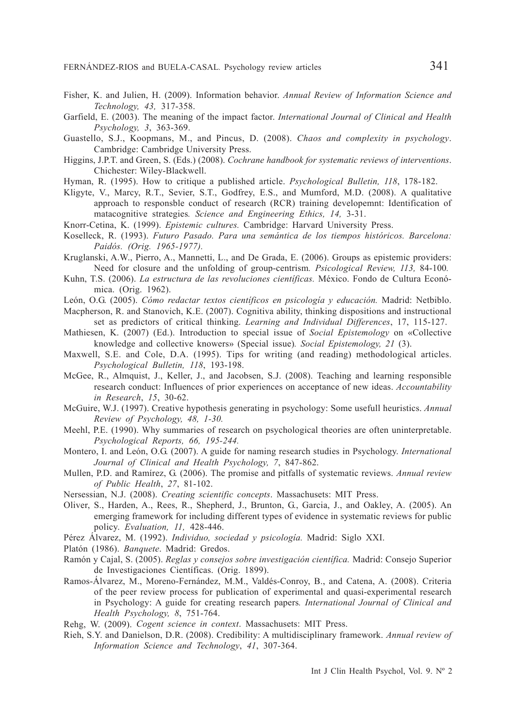- Fisher, K. and Julien, H. (2009). Information behavior. *Annual Review of Information Science and Technology, 43,* 317-358.
- Garfield, E. (2003). The meaning of the impact factor. *International Journal of Clinical and Health Psychology, 3*, 363-369.
- Guastello, S.J., Koopmans, M., and Pincus, D. (2008). *Chaos and complexity in psychology*. Cambridge: Cambridge University Press.
- Higgins, J.P.T. and Green, S. (Eds.) (2008). *Cochrane handbook for systematic reviews of interventions*. Chichester: Wiley-Blackwell.
- Hyman, R. (1995). How to critique a published article. *Psychological Bulletin, 118*, 178-182.
- Kligyte, V., Marcy, R.T., Sevier, S.T., Godfrey, E.S., and Mumford, M.D. (2008). A qualitative approach to responsble conduct of research (RCR) training developemnt: Identification of matacognitive strategies*. Science and Engineering Ethics, 14,* 3-31.
- Knorr-Cetina, K. (1999). *Epistemic cultures.* Cambridge: Harvard University Press.
- Koselleck, R. (1993). *Futuro Pasado. Para una semántica de los tiempos históricos. Barcelona: Paidós. (Orig. 1965-1977).*
- Kruglanski, A.W., Pierro, A., Mannetti, L., and De Grada, E. (2006). Groups as epistemic providers: Need for closure and the unfolding of group-centrism*. Psicological Review, 113,* 84-100*.*
- Kuhn, T.S. (2006). *La estructura de las revoluciones científicas.* México. Fondo de Cultura Económica. (Orig. 1962).
- León, O.G. (2005). *Cómo redactar textos científicos en psicología y educación.* Madrid: Netbiblo.
- Macpherson, R. and Stanovich, K.E. (2007). Cognitiva ability, thinking dispositions and instructional set as predictors of critical thinking. *Learning and Individual Differences*, 17, 115-127.
- Mathiesen, K. (2007) (Ed.). Introduction to special issue of *Social Epistemology* on «Collective knowledge and collective knowers» (Special issue)*. Social Epistemology, 21* (3).
- Maxwell, S.E. and Cole, D.A. (1995). Tips for writing (and reading) methodological articles. *Psychological Bulletin, 118*, 193-198.
- McGee, R., Almquist, J., Keller, J., and Jacobsen, S.J. (2008). Teaching and learning responsible research conduct: Influences of prior experiences on acceptance of new ideas. *Accountability in Research*, *15*, 30-62.
- McGuire, W.J. (1997). Creative hypothesis generating in psychology: Some usefull heuristics. *Annual Review of Psychology, 48, 1-30.*
- Meehl, P.E. (1990). Why summaries of research on psychological theories are often uninterpretable. *Psychological Reports, 66, 195-244.*
- Montero, I. and León, O.G. (2007). A guide for naming research studies in Psychology. *International Journal of Clinical and Health Psychology, 7*, 847-862.
- Mullen, P.D. and Ramírez, G. (2006). The promise and pitfalls of systematic reviews. *Annual review of Public Health*, *27*, 81-102.
- Nersessian, N.J. (2008). *Creating scientific concepts*. Massachusets: MIT Press.
- Oliver, S., Harden, A., Rees, R., Shepherd, J., Brunton, G., Garcia, J., and Oakley, A. (2005). An emerging framework for including different types of evidence in systematic reviews for public policy. *Evaluation, 11,* 428-446.
- Pérez Álvarez, M. (1992). *Individuo, sociedad y psicología.* Madrid: Siglo XXI.
- Platón (1986). *Banquete*. Madrid: Gredos.
- Ramón y Cajal, S. (2005). *Reglas y consejos sobre investigación científica.* Madrid: Consejo Superior de Investigaciones Científicas. (Orig. 1899).
- Ramos-Álvarez, M., Moreno-Fernández, M.M., Valdés-Conroy, B., and Catena, A. (2008). Criteria of the peer review process for publication of experimental and quasi-experimental research in Psychology: A guide for creating research papers*. International Journal of Clinical and Health Psychology, 8*, 751-764.
- Rehg, W. (2009). *Cogent science in context*. Massachusets: MIT Press.
- Rieh, S.Y. and Danielson, D.R. (2008). Credibility: A multidisciplinary framework. *Annual review of Information Science and Technology*, *41*, 307-364.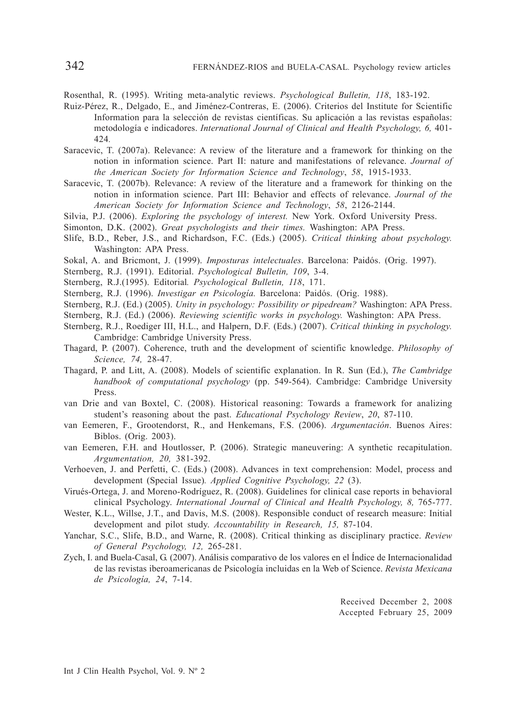Rosenthal, R. (1995). Writing meta-analytic reviews. *Psychological Bulletin, 118*, 183-192.

- Ruiz-Pérez, R., Delgado, E., and Jiménez-Contreras, E. (2006). Criterios del Institute for Scientific Information para la selección de revistas científicas. Su aplicación a las revistas españolas: metodología e indicadores. *International Journal of Clinical and Health Psychology, 6,* 401- 424*.*
- Saracevic, T. (2007a). Relevance: A review of the literature and a framework for thinking on the notion in information science. Part II: nature and manifestations of relevance. *Journal of the American Society for Information Science and Technology*, *58*, 1915-1933.
- Saracevic, T. (2007b). Relevance: A review of the literature and a framework for thinking on the notion in information science. Part III: Behavior and effects of relevance. *Journal of the American Society for Information Science and Technology*, *58*, 2126-2144.
- Silvia, P.J. (2006). *Exploring the psychology of interest.* New York. Oxford University Press.

Simonton, D.K. (2002). *Great psychologists and their times.* Washington: APA Press.

- Slife, B.D., Reber, J.S., and Richardson, F.C. (Eds.) (2005). *Critical thinking about psychology.* Washington: APA Press.
- Sokal, A. and Bricmont, J. (1999). *Imposturas intelectuales*. Barcelona: Paidós. (Orig. 1997).
- Sternberg, R.J. (1991). Editorial. *Psychological Bulletin, 109*, 3-4.
- Sternberg, R.J.(1995). Editorial*. Psychological Bulletin, 118*, 171.
- Sternberg, R.J. (1996). *Investigar en Psicología.* Barcelona: Paidós. (Orig. 1988).
- Sternberg, R.J. (Ed.) (2005). *Unity in psychology: Possibility or pipedream?* Washington: APA Press.
- Sternberg, R.J. (Ed.) (2006). *Reviewing scientific works in psychology.* Washington: APA Press.
- Sternberg, R.J., Roediger III, H.L., and Halpern, D.F. (Eds.) (2007). *Critical thinking in psychology.* Cambridge: Cambridge University Press.
- Thagard, P. (2007). Coherence, truth and the development of scientific knowledge. *Philosophy of Science, 74,* 28-47.
- Thagard, P. and Litt, A. (2008). Models of scientific explanation. In R. Sun (Ed.), *The Cambridge handbook of computational psychology* (pp. 549-564). Cambridge: Cambridge University Press.
- van Drie and van Boxtel, C. (2008). Historical reasoning: Towards a framework for analizing student's reasoning about the past. *Educational Psychology Review*, *20*, 87-110.
- van Eemeren, F., Grootendorst, R., and Henkemans, F.S. (2006). *Argumentación*. Buenos Aires: Biblos. (Orig. 2003).
- van Eemeren, F.H. and Houtlosser, P. (2006). Strategic maneuvering: A synthetic recapitulation. *Argumentation, 20,* 381-392.
- Verhoeven, J. and Perfetti, C. (Eds.) (2008). Advances in text comprehension: Model, process and development (Special Issue)*. Applied Cognitive Psychology, 22* (3).
- Virués-Ortega, J. and Moreno-Rodríguez, R. (2008). Guidelines for clinical case reports in behavioral clinical Psychology. *International Journal of Clinical and Health Psychology, 8,* 765-777.
- Wester, K.L., Willse, J.T., and Davis, M.S. (2008). Responsible conduct of research measure: Initial development and pilot study. *Accountability in Research, 15,* 87-104.
- Yanchar, S.C., Slife, B.D., and Warne, R. (2008). Critical thinking as disciplinary practice. *Review of General Psychology, 12,* 265-281.
- Zych, I. and Buela-Casal, G. (2007). Análisis comparativo de los valores en el Índice de Internacionalidad de las revistas iberoamericanas de Psicología incluidas en la Web of Science. *Revista Mexicana de Psicología, 24*, 7-14.

Received December 2, 2008 Accepted February 25, 2009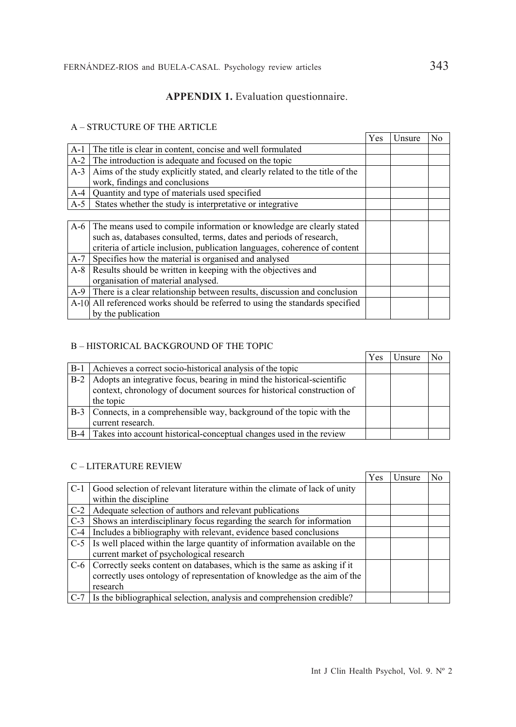# **APPENDIX 1.** Evaluation questionnaire.

# A – STRUCTURE OF THE ARTICLE

|       |                                                                               | Yes | Unsure | No |
|-------|-------------------------------------------------------------------------------|-----|--------|----|
| $A-1$ | The title is clear in content, concise and well formulated                    |     |        |    |
| $A-2$ | The introduction is adequate and focused on the topic                         |     |        |    |
| $A-3$ | Aims of the study explicitly stated, and clearly related to the title of the  |     |        |    |
|       | work, findings and conclusions                                                |     |        |    |
| $A-4$ | Quantity and type of materials used specified                                 |     |        |    |
| $A-5$ | States whether the study is interpretative or integrative                     |     |        |    |
|       |                                                                               |     |        |    |
| $A-6$ | The means used to compile information or knowledge are clearly stated         |     |        |    |
|       | such as, databases consulted, terms, dates and periods of research,           |     |        |    |
|       | criteria of article inclusion, publication languages, coherence of content    |     |        |    |
| $A-7$ | Specifies how the material is organised and analysed                          |     |        |    |
| $A-8$ | Results should be written in keeping with the objectives and                  |     |        |    |
|       | organisation of material analysed.                                            |     |        |    |
| $A-9$ | There is a clear relationship between results, discussion and conclusion      |     |        |    |
|       | A-10 All referenced works should be referred to using the standards specified |     |        |    |
|       | by the publication                                                            |     |        |    |

# B – HISTORICAL BACKGROUND OF THE TOPIC

|       |                                                                                                                                                  | Yes | Jnsure | No |
|-------|--------------------------------------------------------------------------------------------------------------------------------------------------|-----|--------|----|
| $B-1$ | Achieves a correct socio-historical analysis of the topic                                                                                        |     |        |    |
| $B-2$ | Adopts an integrative focus, bearing in mind the historical-scientific<br>context, chronology of document sources for historical construction of |     |        |    |
|       | the topic                                                                                                                                        |     |        |    |
| $B-3$ | Connects, in a comprehensible way, background of the topic with the                                                                              |     |        |    |
|       | current research.                                                                                                                                |     |        |    |
| $B-4$ | Takes into account historical-conceptual changes used in the review                                                                              |     |        |    |

# C – LITERATURE REVIEW

|       |                                                                                                                                                                     | Yes | Unsure | No |
|-------|---------------------------------------------------------------------------------------------------------------------------------------------------------------------|-----|--------|----|
| $C-1$ | Good selection of relevant literature within the climate of lack of unity                                                                                           |     |        |    |
|       | within the discipline                                                                                                                                               |     |        |    |
|       | C-2 Adequate selection of authors and relevant publications                                                                                                         |     |        |    |
| $C-3$ | Shows an interdisciplinary focus regarding the search for information                                                                                               |     |        |    |
| $C-4$ | Includes a bibliography with relevant, evidence based conclusions                                                                                                   |     |        |    |
|       | C-5 Is well placed within the large quantity of information available on the<br>current market of psychological research                                            |     |        |    |
|       | C-6 Correctly seeks content on databases, which is the same as asking if it<br>correctly uses ontology of representation of knowledge as the aim of the<br>research |     |        |    |
|       | C-7 Is the bibliographical selection, analysis and comprehension credible?                                                                                          |     |        |    |